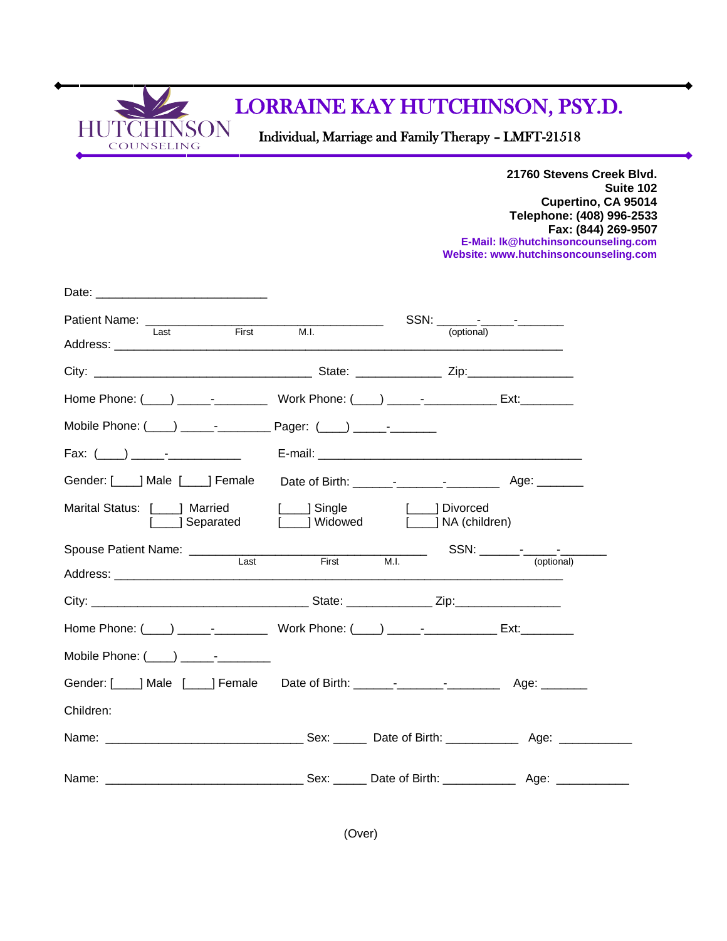

## LORRAINE KAY HUTCHINSON, PSY.D.

Individual, Marriage and Family Therapy – LMFT-21518

**21760 Stevens Creek Blvd. Suite 102 Cupertino, CA 95014 Telephone: (408) 996-2533 Fax: (844) 269-9507 E-Mail[: lk@hutchinsoncounseling.com](mailto:lk@hutchinsoncounseling.com) Website: [www.hutchinsoncounseling.com](http://www.hutchinsoncounseling.com/)**

| Patient Name: <u>Last First M.I.</u>                                                                                                                                                                                           |              |                                 |            |  |
|--------------------------------------------------------------------------------------------------------------------------------------------------------------------------------------------------------------------------------|--------------|---------------------------------|------------|--|
|                                                                                                                                                                                                                                |              | (optional)                      |            |  |
|                                                                                                                                                                                                                                |              |                                 |            |  |
| Home Phone: (\int_ ) \Resonance - \Resonance \Resonance \Resonance \Resonance \Resonance \Resonance \Resonance \Resonance \Resonance \Resonance \Resonance \Resonance \Resonance \Resonance \Resonance \Resonance \Resonance \ |              |                                 |            |  |
| Mobile Phone: (___) _____- ____________ Pager: (___) _____- ________                                                                                                                                                           |              |                                 |            |  |
|                                                                                                                                                                                                                                |              |                                 |            |  |
|                                                                                                                                                                                                                                |              |                                 |            |  |
| Marital Status: [ ] Married<br>Separated [ ] Widowed                                                                                                                                                                           | [ ] Single   | 1 Divorced<br>[ ] NA (children) |            |  |
| Spouse Patient Name: ________________________<br><b>Last</b>                                                                                                                                                                   | <b>First</b> | M.L                             | (optional) |  |
|                                                                                                                                                                                                                                |              |                                 |            |  |
|                                                                                                                                                                                                                                |              |                                 |            |  |
|                                                                                                                                                                                                                                |              |                                 |            |  |
| Mobile Phone: (____) _____-_-_______                                                                                                                                                                                           |              |                                 |            |  |
|                                                                                                                                                                                                                                |              |                                 |            |  |
| Children:                                                                                                                                                                                                                      |              |                                 |            |  |
|                                                                                                                                                                                                                                |              |                                 |            |  |
|                                                                                                                                                                                                                                |              |                                 |            |  |

(Over)